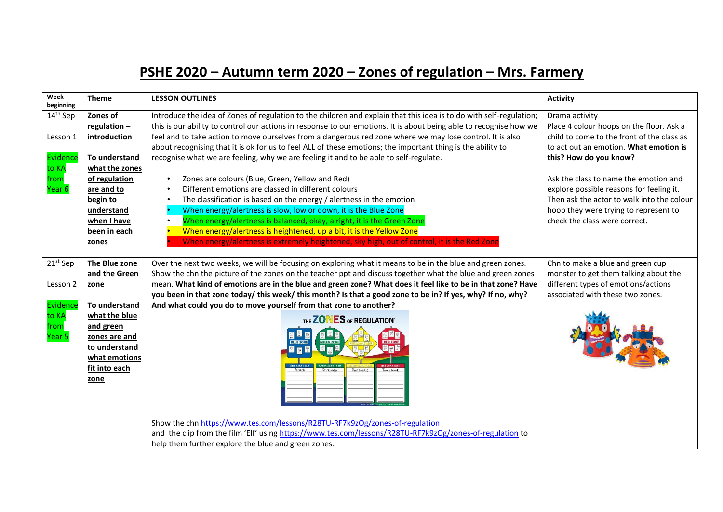## **PSHE 2020 – Autumn term 2020 – Zones of regulation – Mrs. Farmery**

| Week<br>beginning                                                       | <b>Theme</b>                                                                                                                                                                | <b>LESSON OUTLINES</b>                                                                                                                                                                                                                                                                                                                                                                                                                                                                                                                                                                                                                                                                                                                                                                                                                                                                                                                                                                                                                                                                                      | <b>Activity</b>                                                                                                                                                                                                                                                                                                                                                                           |
|-------------------------------------------------------------------------|-----------------------------------------------------------------------------------------------------------------------------------------------------------------------------|-------------------------------------------------------------------------------------------------------------------------------------------------------------------------------------------------------------------------------------------------------------------------------------------------------------------------------------------------------------------------------------------------------------------------------------------------------------------------------------------------------------------------------------------------------------------------------------------------------------------------------------------------------------------------------------------------------------------------------------------------------------------------------------------------------------------------------------------------------------------------------------------------------------------------------------------------------------------------------------------------------------------------------------------------------------------------------------------------------------|-------------------------------------------------------------------------------------------------------------------------------------------------------------------------------------------------------------------------------------------------------------------------------------------------------------------------------------------------------------------------------------------|
| 14 <sup>th</sup> Sep<br>Lesson 1<br>Evidence<br>to KA<br>from<br>Year 6 | Zones of<br>regulation-<br>introduction<br>To understand<br>what the zones<br>of regulation<br>are and to<br>begin to<br>understand<br>when I have<br>been in each<br>zones | Introduce the idea of Zones of regulation to the children and explain that this idea is to do with self-regulation;<br>this is our ability to control our actions in response to our emotions. It is about being able to recognise how we<br>feel and to take action to move ourselves from a dangerous red zone where we may lose control. It is also<br>about recognising that it is ok for us to feel ALL of these emotions; the important thing is the ability to<br>recognise what we are feeling, why we are feeling it and to be able to self-regulate.<br>Zones are colours (Blue, Green, Yellow and Red)<br>$\bullet$<br>Different emotions are classed in different colours<br>$\bullet$<br>The classification is based on the energy / alertness in the emotion<br>$\bullet$<br>When energy/alertness is slow, low or down, it is the Blue Zone<br>When energy/alertness is balanced, okay, alright, it is the Green Zone<br>When energy/alertness is heightened, up a bit, it is the Yellow Zone<br>When energy/alertness is extremely heightened, sky high, out of control, it is the Red Zone | Drama activity<br>Place 4 colour hoops on the floor. Ask a<br>child to come to the front of the class as<br>to act out an emotion. What emotion is<br>this? How do you know?<br>Ask the class to name the emotion and<br>explore possible reasons for feeling it.<br>Then ask the actor to walk into the colour<br>hoop they were trying to represent to<br>check the class were correct. |
| 21 <sup>st</sup> Sep<br>Lesson 2<br>Evidence<br>to KA<br>from<br>Year 5 | The Blue zone<br>and the Green<br>zone<br>To understand<br>what the blue<br>and green<br>zones are and<br>to understand<br>what emotions<br>fit into each<br>zone           | Over the next two weeks, we will be focusing on exploring what it means to be in the blue and green zones.<br>Show the chn the picture of the zones on the teacher ppt and discuss together what the blue and green zones<br>mean. What kind of emotions are in the blue and green zone? What does it feel like to be in that zone? Have<br>you been in that zone today/ this week/ this month? Is that a good zone to be in? If yes, why? If no, why?<br>And what could you do to move yourself from that zone to another?<br>THE ZONES OF REGULATION"<br><b>EREEN ZONE</b><br>Take a break<br>Deep breaths<br>Show the chn https://www.tes.com/lessons/R28TU-RF7k9zOg/zones-of-regulation<br>and the clip from the film 'Elf' using https://www.tes.com/lessons/R28TU-RF7k9zOg/zones-of-regulation to<br>help them further explore the blue and green zones.                                                                                                                                                                                                                                              | Chn to make a blue and green cup<br>monster to get them talking about the<br>different types of emotions/actions<br>associated with these two zones.                                                                                                                                                                                                                                      |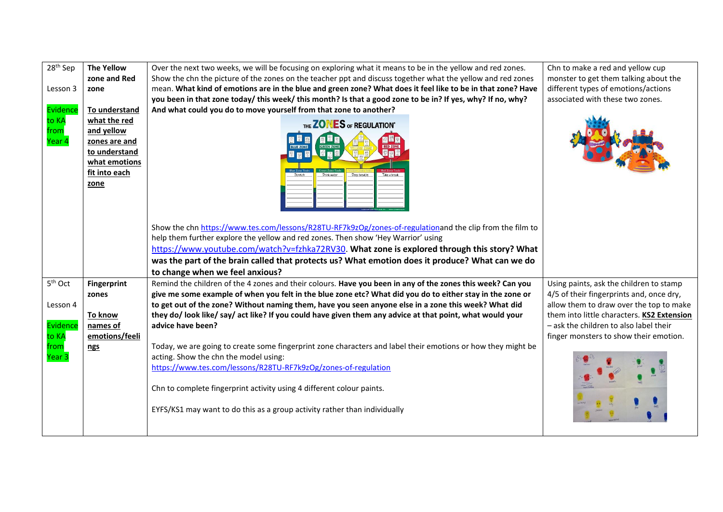| 28 <sup>th</sup> Sep    | <b>The Yellow</b>                                                                                      | Over the next two weeks, we will be focusing on exploring what it means to be in the yellow and red zones.                                                                                                                                                                                                                                                                                                                         | Chn to make a red and yellow cup           |
|-------------------------|--------------------------------------------------------------------------------------------------------|------------------------------------------------------------------------------------------------------------------------------------------------------------------------------------------------------------------------------------------------------------------------------------------------------------------------------------------------------------------------------------------------------------------------------------|--------------------------------------------|
|                         | zone and Red                                                                                           | Show the chn the picture of the zones on the teacher ppt and discuss together what the yellow and red zones                                                                                                                                                                                                                                                                                                                        | monster to get them talking about the      |
| Lesson 3                | zone                                                                                                   | mean. What kind of emotions are in the blue and green zone? What does it feel like to be in that zone? Have                                                                                                                                                                                                                                                                                                                        | different types of emotions/actions        |
|                         |                                                                                                        | you been in that zone today/ this week/ this month? Is that a good zone to be in? If yes, why? If no, why?                                                                                                                                                                                                                                                                                                                         | associated with these two zones.           |
| Evidence                | To understand                                                                                          | And what could you do to move yourself from that zone to another?                                                                                                                                                                                                                                                                                                                                                                  |                                            |
| to KA<br>from<br>Year 4 | what the red<br>and yellow<br>zones are and<br>to understand<br>what emotions<br>fit into each<br>zone | THE ZONES OF REGULATION"<br>Take a break                                                                                                                                                                                                                                                                                                                                                                                           |                                            |
|                         |                                                                                                        | Show the chn https://www.tes.com/lessons/R28TU-RF7k9zOg/zones-of-regulationand the clip from the film to<br>help them further explore the yellow and red zones. Then show 'Hey Warrior' using<br>https://www.youtube.com/watch?v=fzhka72RV30. What zone is explored through this story? What<br>was the part of the brain called that protects us? What emotion does it produce? What can we do<br>to change when we feel anxious? |                                            |
| 5 <sup>th</sup> Oct     | <b>Fingerprint</b>                                                                                     | Remind the children of the 4 zones and their colours. Have you been in any of the zones this week? Can you                                                                                                                                                                                                                                                                                                                         | Using paints, ask the children to stamp    |
|                         | zones                                                                                                  | give me some example of when you felt in the blue zone etc? What did you do to either stay in the zone or                                                                                                                                                                                                                                                                                                                          | 4/5 of their fingerprints and, once dry,   |
| Lesson 4                |                                                                                                        | to get out of the zone? Without naming them, have you seen anyone else in a zone this week? What did                                                                                                                                                                                                                                                                                                                               | allow them to draw over the top to make    |
|                         | To know                                                                                                | they do/look like/say/act like? If you could have given them any advice at that point, what would your                                                                                                                                                                                                                                                                                                                             | them into little characters. KS2 Extension |
| Evidence                | names of                                                                                               | advice have been?                                                                                                                                                                                                                                                                                                                                                                                                                  | - ask the children to also label their     |
| to KA                   | emotions/feeli                                                                                         |                                                                                                                                                                                                                                                                                                                                                                                                                                    | finger monsters to show their emotion.     |
| from                    | <u>ngs</u>                                                                                             | Today, we are going to create some fingerprint zone characters and label their emotions or how they might be                                                                                                                                                                                                                                                                                                                       |                                            |
| Year 3                  |                                                                                                        | acting. Show the chn the model using:                                                                                                                                                                                                                                                                                                                                                                                              |                                            |
|                         |                                                                                                        | https://www.tes.com/lessons/R28TU-RF7k9zOg/zones-of-regulation                                                                                                                                                                                                                                                                                                                                                                     |                                            |
|                         |                                                                                                        | Chn to complete fingerprint activity using 4 different colour paints.                                                                                                                                                                                                                                                                                                                                                              |                                            |
|                         |                                                                                                        | EYFS/KS1 may want to do this as a group activity rather than individually                                                                                                                                                                                                                                                                                                                                                          |                                            |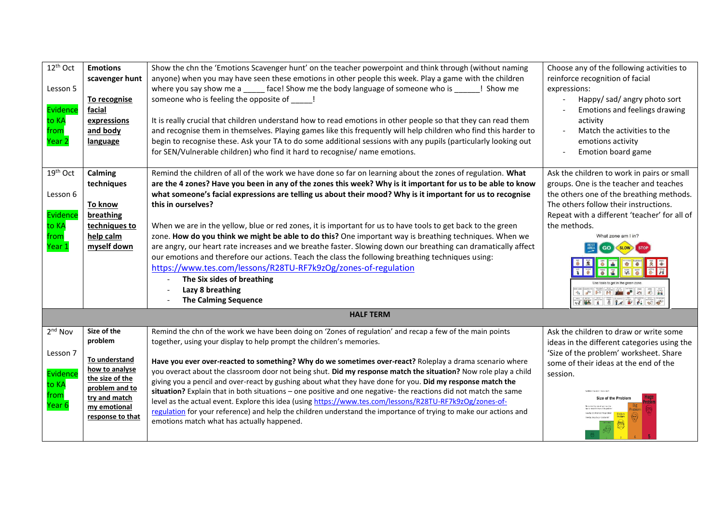| 12 <sup>th</sup> Oct<br>Lesson 5<br>Evidence<br>to KA<br>from<br>Year <sub>2</sub> | <b>Emotions</b><br>scavenger hunt<br>To recognise<br>facial<br>expressions<br>and body<br>language                                                  | Show the chn the 'Emotions Scavenger hunt' on the teacher powerpoint and think through (without naming<br>anyone) when you may have seen these emotions in other people this week. Play a game with the children<br>where you say show me a _____ face! Show me the body language of someone who is ______! Show me<br>someone who is feeling the opposite of [150]<br>It is really crucial that children understand how to read emotions in other people so that they can read them<br>and recognise them in themselves. Playing games like this frequently will help children who find this harder to<br>begin to recognise these. Ask your TA to do some additional sessions with any pupils (particularly looking out<br>for SEN/Vulnerable children) who find it hard to recognise/ name emotions.                                                                                                                                                         | Choose any of the following activities to<br>reinforce recognition of facial<br>expressions:<br>Happy/ sad/ angry photo sort<br>Emotions and feelings drawing<br>activity<br>Match the activities to the<br>emotions activity<br>Emotion board game                                                                                                                                                                                                                                                                                                                                                                                   |  |
|------------------------------------------------------------------------------------|-----------------------------------------------------------------------------------------------------------------------------------------------------|-----------------------------------------------------------------------------------------------------------------------------------------------------------------------------------------------------------------------------------------------------------------------------------------------------------------------------------------------------------------------------------------------------------------------------------------------------------------------------------------------------------------------------------------------------------------------------------------------------------------------------------------------------------------------------------------------------------------------------------------------------------------------------------------------------------------------------------------------------------------------------------------------------------------------------------------------------------------|---------------------------------------------------------------------------------------------------------------------------------------------------------------------------------------------------------------------------------------------------------------------------------------------------------------------------------------------------------------------------------------------------------------------------------------------------------------------------------------------------------------------------------------------------------------------------------------------------------------------------------------|--|
| 19 <sup>th</sup> Oct<br>Lesson 6<br>Evidence<br>to KA<br>from<br>Year 1            | Calming<br>techniques<br>To know<br>breathing<br>techniques to<br>help calm<br>myself down                                                          | Remind the children of all of the work we have done so far on learning about the zones of regulation. What<br>are the 4 zones? Have you been in any of the zones this week? Why is it important for us to be able to know<br>what someone's facial expressions are telling us about their mood? Why is it important for us to recognise<br>this in ourselves?<br>When we are in the yellow, blue or red zones, it is important for us to have tools to get back to the green<br>zone. How do you think we might be able to do this? One important way is breathing techniques. When we<br>are angry, our heart rate increases and we breathe faster. Slowing down our breathing can dramatically affect<br>our emotions and therefore our actions. Teach the class the following breathing techniques using:<br>https://www.tes.com/lessons/R28TU-RF7k9zOg/zones-of-regulation<br>The Six sides of breathing<br>Lazy 8 breathing<br><b>The Calming Sequence</b> | Ask the children to work in pairs or small<br>groups. One is the teacher and teaches<br>the others one of the breathing methods.<br>The others follow their instructions.<br>Repeat with a different 'teacher' for all of<br>the methods.<br>What zone am I in?<br>$\bullet$<br>$\frac{1}{2}$ $\frac{1}{2}$ $\frac{1}{2}$ $\frac{1}{2}$ $\frac{1}{2}$ $\frac{1}{2}$ $\frac{1}{2}$ $\frac{1}{2}$ $\frac{1}{2}$ $\frac{1}{2}$ $\frac{1}{2}$ $\frac{1}{2}$ $\frac{1}{2}$ $\frac{1}{2}$ $\frac{1}{2}$ $\frac{1}{2}$ $\frac{1}{2}$ $\frac{1}{2}$ $\frac{1}{2}$ $\frac{1}{2}$ $\frac{1}{2}$ $\frac{1}{2}$<br>$71.8$ $1.8$ $1.8$ $1.8$ $1.8$ |  |
| <b>HALF TERM</b>                                                                   |                                                                                                                                                     |                                                                                                                                                                                                                                                                                                                                                                                                                                                                                                                                                                                                                                                                                                                                                                                                                                                                                                                                                                 |                                                                                                                                                                                                                                                                                                                                                                                                                                                                                                                                                                                                                                       |  |
| 2 <sup>nd</sup> Nov<br>Lesson 7<br>Evidence<br>to KA<br>from<br>Year <sub>6</sub>  | Size of the<br>problem<br>To understand<br>how to analyse<br>the size of the<br>problem and to<br>try and match<br>my emotional<br>response to that | Remind the chn of the work we have been doing on 'Zones of regulation' and recap a few of the main points<br>together, using your display to help prompt the children's memories.<br>Have you ever over-reacted to something? Why do we sometimes over-react? Roleplay a drama scenario where<br>you overact about the classroom door not being shut. Did my response match the situation? Now role play a child<br>giving you a pencil and over-react by gushing about what they have done for you. Did my response match the<br>situation? Explain that in both situations - one positive and one negative- the reactions did not match the same<br>level as the actual event. Explore this idea (using https://www.tes.com/lessons/R28TU-RF7k9zOg/zones-of-<br>regulation for your reference) and help the children understand the importance of trying to make our actions and<br>emotions match what has actually happened.                                | Ask the children to draw or write some<br>ideas in the different categories using the<br>'Size of the problem' worksheet. Share<br>some of their ideas at the end of the<br>session.<br><b>Size of the Problen</b>                                                                                                                                                                                                                                                                                                                                                                                                                    |  |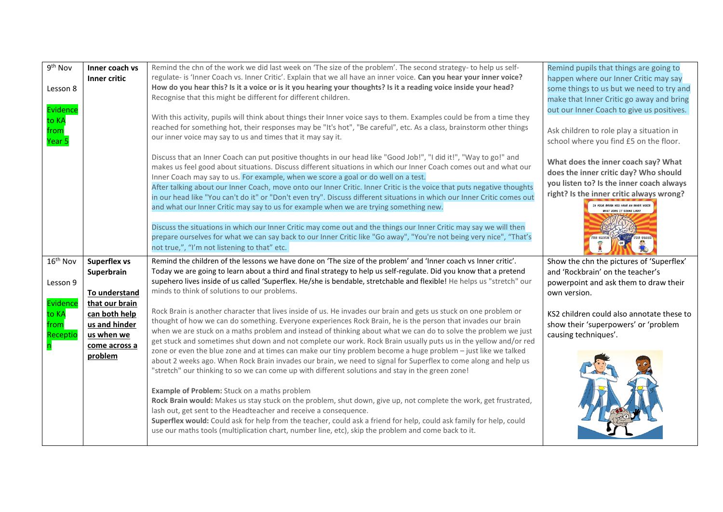| 9 <sup>th</sup> Nov                   | Inner coach vs<br>Inner critic                                                  | Remind the chn of the work we did last week on 'The size of the problem'. The second strategy- to help us self-<br>regulate- is 'Inner Coach vs. Inner Critic'. Explain that we all have an inner voice. Can you hear your inner voice?                                                                                                                                                                                                                                 | Remind pupils that things are going to<br>happen where our Inner Critic may say                           |
|---------------------------------------|---------------------------------------------------------------------------------|-------------------------------------------------------------------------------------------------------------------------------------------------------------------------------------------------------------------------------------------------------------------------------------------------------------------------------------------------------------------------------------------------------------------------------------------------------------------------|-----------------------------------------------------------------------------------------------------------|
| Lesson 8                              |                                                                                 | How do you hear this? Is it a voice or is it you hearing your thoughts? Is it a reading voice inside your head?<br>Recognise that this might be different for different children.                                                                                                                                                                                                                                                                                       | some things to us but we need to try and<br>make that Inner Critic go away and bring                      |
| Evidence<br>to KA                     |                                                                                 | With this activity, pupils will think about things their Inner voice says to them. Examples could be from a time they<br>reached for something hot, their responses may be "It's hot", "Be careful", etc. As a class, brainstorm other things                                                                                                                                                                                                                           | out our Inner Coach to give us positives.<br>Ask children to role play a situation in                     |
| trom<br>Year 5                        |                                                                                 | our inner voice may say to us and times that it may say it.                                                                                                                                                                                                                                                                                                                                                                                                             | school where you find £5 on the floor.                                                                    |
|                                       |                                                                                 | Discuss that an Inner Coach can put positive thoughts in our head like "Good Job!", "I did it!", "Way to go!" and<br>makes us feel good about situations. Discuss different situations in which our Inner Coach comes out and what our<br>Inner Coach may say to us. For example, when we score a goal or do well on a test.                                                                                                                                            | What does the inner coach say? What<br>does the inner critic day? Who should                              |
|                                       |                                                                                 | After talking about our Inner Coach, move onto our Inner Critic. Inner Critic is the voice that puts negative thoughts<br>in our head like "You can't do it" or "Don't even try". Discuss different situations in which our Inner Critic comes out                                                                                                                                                                                                                      | you listen to? Is the inner coach always<br>right? Is the inner critic always wrong?                      |
|                                       |                                                                                 | and what our Inner Critic may say to us for example when we are trying something new.                                                                                                                                                                                                                                                                                                                                                                                   |                                                                                                           |
|                                       |                                                                                 | Discuss the situations in which our Inner Critic may come out and the things our Inner Critic may say we will then<br>prepare ourselves for what we can say back to our Inner Critic like "Go away", "You're not being very nice", "That's<br>not true,", "I'm not listening to that" etc.                                                                                                                                                                              |                                                                                                           |
| 16 <sup>th</sup> Nov                  | <b>Superflex vs</b><br>Superbrain                                               | Remind the children of the lessons we have done on 'The size of the problem' and 'Inner coach vs Inner critic'.<br>Today we are going to learn about a third and final strategy to help us self-regulate. Did you know that a pretend                                                                                                                                                                                                                                   | Show the chn the pictures of 'Superflex'<br>and 'Rockbrain' on the teacher's                              |
| Lesson 9                              | To understand                                                                   | supehero lives inside of us called 'Superflex. He/she is bendable, stretchable and flexible! He helps us "stretch" our<br>minds to think of solutions to our problems.                                                                                                                                                                                                                                                                                                  | powerpoint and ask them to draw their<br>own version.                                                     |
| Evidence<br>to KA<br>from<br>Receptic | that our brain<br>can both help<br>us and hinder<br>us when we<br>come across a | Rock Brain is another character that lives inside of us. He invades our brain and gets us stuck on one problem or<br>thought of how we can do something. Everyone experiences Rock Brain, he is the person that invades our brain<br>when we are stuck on a maths problem and instead of thinking about what we can do to solve the problem we just<br>get stuck and sometimes shut down and not complete our work. Rock Brain usually puts us in the yellow and/or red | KS2 children could also annotate these to<br>show their 'superpowers' or 'problem<br>causing techniques'. |
|                                       | problem                                                                         | zone or even the blue zone and at times can make our tiny problem become a huge problem - just like we talked<br>about 2 weeks ago. When Rock Brain invades our brain, we need to signal for Superflex to come along and help us<br>"stretch" our thinking to so we can come up with different solutions and stay in the green zone!                                                                                                                                    |                                                                                                           |
|                                       |                                                                                 | Example of Problem: Stuck on a maths problem<br>Rock Brain would: Makes us stay stuck on the problem, shut down, give up, not complete the work, get frustrated,<br>lash out, get sent to the Headteacher and receive a consequence.<br>Superflex would: Could ask for help from the teacher, could ask a friend for help, could ask family for help, could<br>use our maths tools (multiplication chart, number line, etc), skip the problem and come back to it.      |                                                                                                           |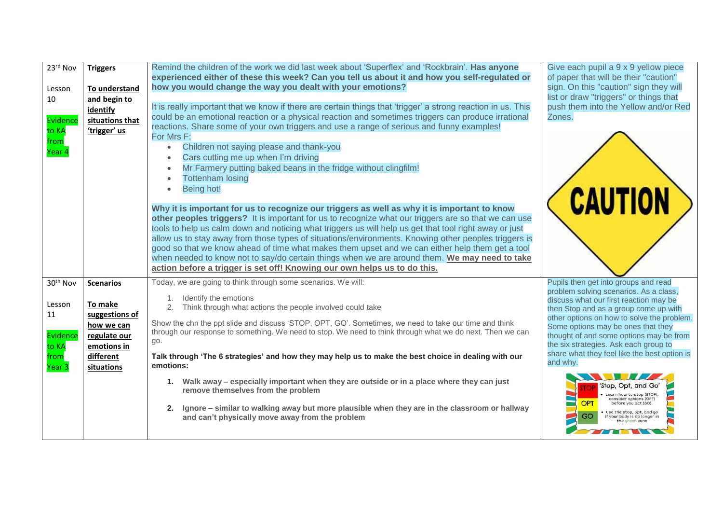| 23rd Nov<br>Lesson<br>10<br>Evidence<br>to KA<br>from<br>Year 4             | <b>Triggers</b><br>To understand<br>and begin to<br>identify<br>situations that<br>'trigger' us                       | Remind the children of the work we did last week about 'Superflex' and 'Rockbrain'. Has anyone<br>experienced either of these this week? Can you tell us about it and how you self-regulated or<br>how you would change the way you dealt with your emotions?<br>It is really important that we know if there are certain things that 'trigger' a strong reaction in us. This<br>could be an emotional reaction or a physical reaction and sometimes triggers can produce irrational<br>reactions. Share some of your own triggers and use a range of serious and funny examples!<br>For Mrs F:<br>Children not saying please and thank-you<br>$\bullet$<br>Cars cutting me up when I'm driving<br>$\bullet$<br>Mr Farmery putting baked beans in the fridge without clingfilm!<br>$\bullet$<br><b>Tottenham losing</b><br>$\bullet$<br>Being hot!<br>$\bullet$<br>Why it is important for us to recognize our triggers as well as why it is important to know<br>other peoples triggers? It is important for us to recognize what our triggers are so that we can use<br>tools to help us calm down and noticing what triggers us will help us get that tool right away or just<br>allow us to stay away from those types of situations/environments. Knowing other peoples triggers is<br>good so that we know ahead of time what makes them upset and we can either help them get a tool<br>when needed to know not to say/do certain things when we are around them. We may need to take<br>action before a trigger is set off! Knowing our own helps us to do this. | Give each pupil a 9 x 9 yellow piece<br>of paper that will be their "caution"<br>sign. On this "caution" sign they will<br>list or draw "triggers" or things that<br>push them into the Yellow and/or Red<br>Zones.<br><b>CAUTION</b>                                                                                                                                                                                                                                                                                                                                |
|-----------------------------------------------------------------------------|-----------------------------------------------------------------------------------------------------------------------|--------------------------------------------------------------------------------------------------------------------------------------------------------------------------------------------------------------------------------------------------------------------------------------------------------------------------------------------------------------------------------------------------------------------------------------------------------------------------------------------------------------------------------------------------------------------------------------------------------------------------------------------------------------------------------------------------------------------------------------------------------------------------------------------------------------------------------------------------------------------------------------------------------------------------------------------------------------------------------------------------------------------------------------------------------------------------------------------------------------------------------------------------------------------------------------------------------------------------------------------------------------------------------------------------------------------------------------------------------------------------------------------------------------------------------------------------------------------------------------------------------------------------------------------------------------------------|----------------------------------------------------------------------------------------------------------------------------------------------------------------------------------------------------------------------------------------------------------------------------------------------------------------------------------------------------------------------------------------------------------------------------------------------------------------------------------------------------------------------------------------------------------------------|
| 30 <sup>th</sup> Nov<br>Lesson<br>11<br>Evidence<br>to KA<br>from<br>Year 3 | <b>Scenarios</b><br>To make<br>suggestions of<br>how we can<br>regulate our<br>emotions in<br>different<br>situations | Today, we are going to think through some scenarios. We will:<br>Identify the emotions<br>1.<br>2.<br>Think through what actions the people involved could take<br>Show the chn the ppt slide and discuss 'STOP, OPT, GO'. Sometimes, we need to take our time and think<br>through our response to something. We need to stop. We need to think through what we do next. Then we can<br>go.<br>Talk through 'The 6 strategies' and how they may help us to make the best choice in dealing with our<br>emotions:<br>1. Walk away - especially important when they are outside or in a place where they can just<br>remove themselves from the problem<br>Ignore – similar to walking away but more plausible when they are in the classroom or hallway<br>2.<br>and can't physically move away from the problem                                                                                                                                                                                                                                                                                                                                                                                                                                                                                                                                                                                                                                                                                                                                                         | Pupils then get into groups and read<br>problem solving scenarios. As a class,<br>discuss what our first reaction may be<br>then Stop and as a group come up with<br>other options on how to solve the problem.<br>Some options may be ones that they<br>thought of and some options may be from<br>the six strategies. Ask each group to<br>share what they feel like the best option is<br>and why.<br>'Stop, Opt, and Go'<br>Learn how to stop (STOP),<br>consider options (OPT)<br><b>OPT</b><br>Use the stop, opt, and go<br>if your body is no longer in<br>GO |